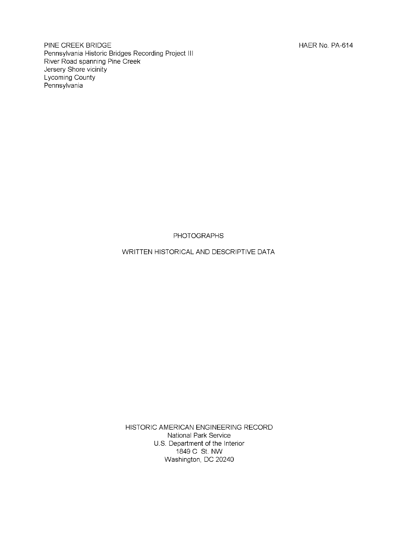PINE CREEK BRIDGE **HAER No. PA-614** Pennsylvania Historic Bridges Recording Project III River Road spanning Pine Creek Jersery Shore vicinity Lycoming County Pennsylvania

PHOTOGRAPHS

WRITTEN HISTORICAL AND DESCRIPTIVE DATA

HISTORIC AMERICAN ENGINEERING RECORD National Park Service U.S. Department of the Interior 1849 C St. NW Washington, DC 20240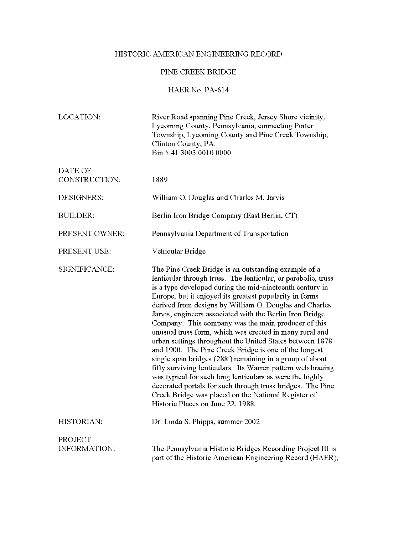# HISTORIC AMERICAN ENGINEERING RECORD

# PINE CREEK BRIDGE

HAER No. PA-614

| LOCATION:                | River Road spanning Pine Creek, Jersey Shore vicinity,<br>Lycoming County, Pennsylvania, connecting Porter<br>Township, Lycoming County and Pine Creek Township,<br>Clinton County, PA.<br>Bin # 41 3003 0010 0000                                                                                                                                                                                                                                                                                                                                                                                                                                                                                                                                                                                                                                                                                                                                         |
|--------------------------|------------------------------------------------------------------------------------------------------------------------------------------------------------------------------------------------------------------------------------------------------------------------------------------------------------------------------------------------------------------------------------------------------------------------------------------------------------------------------------------------------------------------------------------------------------------------------------------------------------------------------------------------------------------------------------------------------------------------------------------------------------------------------------------------------------------------------------------------------------------------------------------------------------------------------------------------------------|
| DATE OF<br>CONSTRUCTION: | 1889                                                                                                                                                                                                                                                                                                                                                                                                                                                                                                                                                                                                                                                                                                                                                                                                                                                                                                                                                       |
|                          |                                                                                                                                                                                                                                                                                                                                                                                                                                                                                                                                                                                                                                                                                                                                                                                                                                                                                                                                                            |
| DESIGNERS:               | William O. Douglas and Charles M. Jarvis                                                                                                                                                                                                                                                                                                                                                                                                                                                                                                                                                                                                                                                                                                                                                                                                                                                                                                                   |
| <b>BUILDER:</b>          | Berlin Iron Bridge Company (East Berlin, CT)                                                                                                                                                                                                                                                                                                                                                                                                                                                                                                                                                                                                                                                                                                                                                                                                                                                                                                               |
| PRESENT OWNER:           | Pennsylvania Department of Transportation                                                                                                                                                                                                                                                                                                                                                                                                                                                                                                                                                                                                                                                                                                                                                                                                                                                                                                                  |
| PRESENT USE:             | Vehicular Bridge                                                                                                                                                                                                                                                                                                                                                                                                                                                                                                                                                                                                                                                                                                                                                                                                                                                                                                                                           |
| SIGNIFICANCE:            | The Pine Creek Bridge is an outstanding example of a<br>lenticular through truss. The lenticular, or parabolic, truss<br>is a type developed during the mid-nineteenth century in<br>Europe, but it enjoyed its greatest popularity in forms<br>derived from designs by William O. Douglas and Charles<br>Jarvis, engineers associated with the Berlin Iron Bridge<br>Company. This company was the main producer of this<br>unusual truss form, which was erected in many rural and<br>urban settings throughout the United States between 1878<br>and 1900. The Pine Creek Bridge is one of the longest<br>single span bridges (288') remaining in a group of about<br>fifty surviving lenticulars. Its Warren pattern web bracing<br>was typical for such long lenticulars as were the highly<br>decorated portals for such through truss bridges. The Pine<br>Creek Bridge was placed on the National Register of<br>Historic Places on June 22, 1988. |
| HISTORIAN:               | Dr. Linda S. Phipps, summer 2002                                                                                                                                                                                                                                                                                                                                                                                                                                                                                                                                                                                                                                                                                                                                                                                                                                                                                                                           |
| PROJECT<br>INFORMATION:  | The Pennsylvania Historic Bridges Recording Project III is<br>part of the Historic American Engineering Record (HAER),                                                                                                                                                                                                                                                                                                                                                                                                                                                                                                                                                                                                                                                                                                                                                                                                                                     |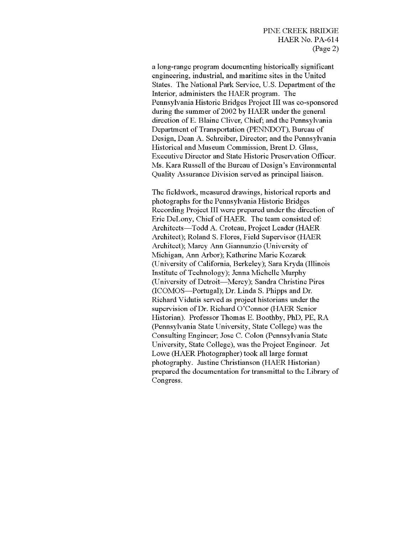a long-range program documenting historically significant engineering, industrial, and maritime sites in the United States. The National Park Service, U.S. Department of the Interior, administers the HAER program. The Pennsylvania Historic Bridges Project III was co-sponsored during the summer of 2002 by HAER under the general direction of E. Blaine Cliver, Chief; and the Pennsylvania Department of Transportation (PENNDOT), Bureau of Design, Dean A. Schreiber, Director; and the Pennsylvania Historical and Museum Commission, Brent D. Glass, Executive Director and State Historic Preservation Officer. Ms. Kara Russell of the Bureau of Design's Environmental Quality Assurance Division served as principal liaison.

The fieldwork, measured drawings, historical reports and photographs for the Pennsylvania Historic Bridges Recording Project III were prepared under the direction of Eric DeLony, Chief of HAER. The team consisted of: Architects—Todd A. Croteau, Project Leader (HAER Architect); Roland S. Flores, Field Supervisor (HAER Architect); Marcy Ann Giannunzio (University of Michigan, Ann Arbor); Katherine Marie Kozarek (University of California, Berkeley); Sara Kryda (Illinois Institute of Technology); Jenna Michelle Murphy (University of Detroit—Mercy); Sandra Christine Pires (ICOMOS—Portugal); Dr. Linda S. Phipps and Dr. Richard Vidutis served as project historians under the supervision of Dr. Richard O'Connor (HAER Senior Historian). Professor Thomas E. Boothby, PhD, PE, RA (Pennsylvania State University, State College) was the Consulting Engineer; Jose C. Colon (Pennsylvania State University, State College), was the Project Engineer. Jet Lowe (HAER Photographer) took all large format photography. Justine Christianson (HAER Historian) prepared the documentation for transmittal to the Library of Congress.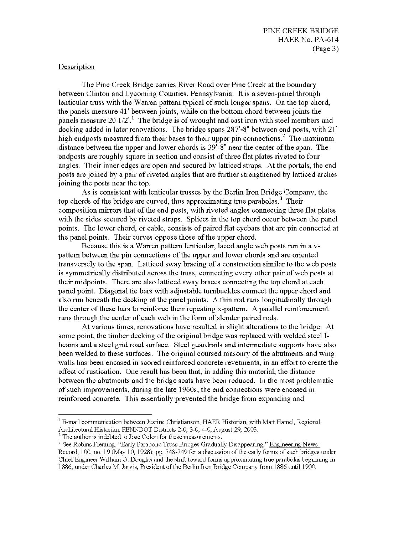# Description

The Pine Creek Bridge carries River Road over Pine Creek at the boundary between Clinton and Lycoming Counties, Pennsylvania. It is a seven-panel through lenticular truss with the Warren pattern typical of such longer spans. On the top chord, the panels measure 41' between joints, while on the bottom chord between joints the panels measure 20 1/2'. The bridge is of wrought and cast iron with steel members and decking added in later renovations. The bridge spans 287'-8" between end posts, with 21' high endposts measured from their bases to their upper pin connections.<sup>2</sup> The maximum distance between the upper and lower chords is 39'-8" near the center ofthe span. The endposts are roughly square in section and consist of three flat plates riveted to four angles. Their inner edges are open and secured by latticed straps. At the portals, the end posts are joined by a pair of riveted angles that are further strengthened by latticed arches joining the posts near the top.

As is consistent with lenticular trusses by the Berlin Iron Bridge Company, the top chords of the bridge are curved, thus approximating true parabolas.<sup>3</sup> Their composition mirrors that of the end posts, with riveted angles connecting three flat plates with the sides secured by riveted straps. Splices in the top chord occur between the panel points. The lower chord, or cable, consists of paired flat eyebars that are pin connected at the panel points. Their curves oppose those of the upper chord.

Because this is a Warren pattern lenticular, laced angle web posts run in a vpattern between the pin connections of the upper and lower chords and are oriented transversely to the span. Latticed sway bracing of a construction similar to the web posts is symmetrically distributed across the truss, connecting every other pair of web posts at their midpoints. There are also latticed sway braces connecting the top chord at each panel point. Diagonal tie bars with adjustable turnbuckles connect the upper chord and also run beneath the decking at the panel points. A thin rod runs longitudinally through the center of these bars to reinforce their repeating x-pattern. A parallel reinforcement runs through the center of each web in the form of slender paired rods.

At various times, renovations have resulted in slight alterations to the bridge. At some point, the timber decking of the original bridge was replaced with welded steel Ibeams and a steel grid road surface. Steel guardrails and intermediate supports have also been welded to these surfaces. The original coursed masonry of the abutments and wing walls has been encased in scored reinforced concrete revetments, in an effort to create the effect of rustication. One result has been that, in adding this material, the distance between the abutments and the bridge seats have been reduced. In the most problematic of such improvements, during the late 1960s, the end connections were encased in reinforced concrete. This essentially prevented the bridge from expanding and

 $1$  E-mail communication between Justine Christianson, HAER Historian, with Matt Hamel, Regional Architectural Historian, PENNDOT Districts 2-0, 3-0, 4-0, August 29, 2003.

*<sup>2</sup>* The author is indebted to Jose Colon for these measurements.

<sup>&</sup>lt;sup>3</sup> See Robins Fleming, "Early Parabolic Truss Bridges Gradually Disappearing," Engineering News-Record. 100, no. 19 (May 10, 1928): pp. 748-749 for a discussion ofthe early forms ofsuch bridges under Chief Engineer William O. Douglas and the shift toward forms approximating true parabolas beginning in 1886, under Charles M. Jarvis, President ofthe Berlin Iron Bridge Company from 1886 until 1900.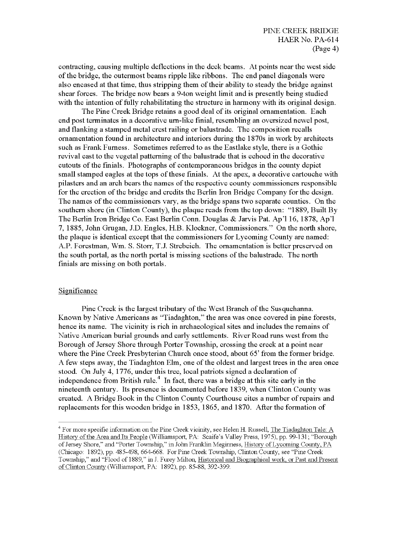contracting, causing multiple deflections in the deck beams. At points near the west side of the bridge, the outermost beams ripple like ribbons. The end panel diagonals were also encased at that time, thus stripping them of their ability to steady the bridge against shear forces. The bridge now bears a 9-ton weight limit and is presently being studied with the intention of fully rehabilitating the structure in harmony with its original design.

The Pine Creek Bridge retains a good deal of its original ornamentation. Each end post terminates in a decorative urn-like finial, resembling an oversized newel post, and flanking a stamped metal crest railing or balustrade. The composition recalls ornamentation found in architecture and interiors during the 1870s in work by architects such as Frank Furness. Sometimes referred to as the Eastlake style, there is a Gothic revival cast to the vegetal patterning of the balustrade that is echoed in the decorative cutouts of the finials. Photographs of contemporaneous bridges in the county depict small stamped eagles at the tops of these finials. At the apex, a decorative cartouche with pilasters and an arch bears the names of the respective county commissioners responsible for the erection of the bridge and credits the Berlin Iron Bridge Company for the design. The names of the commissioners vary, as the bridge spans two separate counties. On the southern shore (in Clinton County), the plaque reads from the top down: "1889, Built By The Berlin Iron Bridge Co. East Berlin Conn. Douglas & Jarvis Pat. Ap'l 16, 1878, Ap'l 7, 1885, John Grugan, J.D. Engles, H.B. Klockner, Commissioners." On the north shore, the plaque is identical except that the commissioners for Lycoming County are named: A.P. Forestman, Wm. S. Storr, T.J. Strebeich. The ornamentation is better preserved on the south portal, as the north portal is missing sections of the balustrade. The north finials are missing on both portals.

#### Significance

Pine Creek is the largest tributary of the West Branch of the Susquehanna. Known by Native Americans as "Tiadaghton," the area was once covered in pine forests, hence its name. The vicinity is rich in archaeological sites and includes the remains of Native American burial grounds and early settlements. River Road runs west from the Borough of Jersey Shore through Porter Township, crossing the creek at a point near where the Pine Creek Presbyterian Church once stood, about 65' from the former bridge. A few steps away, the Tiadaghton Elm, one of the oldest and largest trees in the area once stood. On July 4, 1776, under this tree, local patriots signed a declaration of independence from British rule.<sup>4</sup> In fact, there was a bridge at this site early in the nineteenth century. Its presence is documented before 1839, when Clinton County was created. A Bridge Book in the Clinton County Courthouse cites a number of repairs and replacements for this wooden bridge in 1853, 1865, and 1870. After the formation of

<sup>&</sup>lt;sup>4</sup> For more specific information on the Pine Creek vicinity, see Helen H. Russell, <u>The Tiadaghton Tale: A</u> History of the Area and Its People (Williamsport, PA: Scaife's Valley Press, 1975), pp. 99-131; "Borough of Jersey Shore," and "Porter Township," in John Franklin Meginness, History of Lycoming County, PA (Chicago: 1892), pp. 485-498, 664-668. For Pine Creek Township, Clinton County, see "Pine Creek Township," and "Flood of 1889," in J. Furey Milton, Historical and Biographical work, or Past and Present of Clinton County (Williamsport, PA: 1892), pp. 85-88, 392-399.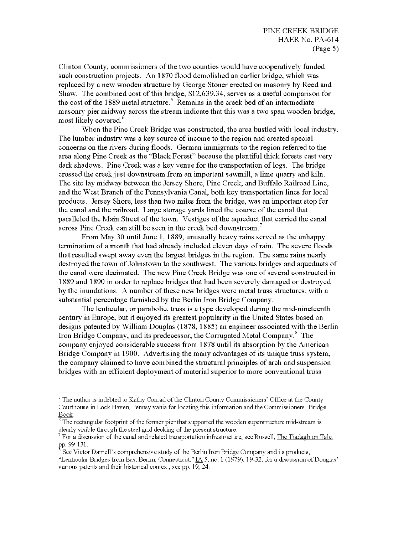Clinton County, commissioners of the two counties would have cooperatively funded such construction projects. An 1870 flood demolished an earlier bridge, which was replaced by a new wooden structure by George Stoner erected on masonry by Reed and Shaw. The combined cost of this bridge, \$12,639.34, serves as a useful comparison for the cost of the 1889 metal structure.<sup>5</sup> Remains in the creek bed of an intermediate masonry pier midway across the stream indicate that this was a two span wooden bridge, most likely covered.<sup>6</sup>

When the Pine Creek Bridge was constructed, the area bustled with local industry. The lumber industry was a key source of income to the region and created special concerns on the rivers during floods. German immigrants to the region referred to the area along Pine Creek as the "Black Forest" because the plentiful thick forests cast very dark shadows. Pine Creek was a key venue for the transportation of logs. The bridge crossed the creek just downstream from an important sawmill, a lime quarry and kiln. The site lay midway between the Jersey Shore, Pine Creek, and Buffalo Railroad Line, and the West Branch of the Pennsylvania Canal, both key transportation lines for local products. Jersey Shore, less than two miles from the bridge, was an important stop for the canal and the railroad. Large storage yards lined the course of the canal that paralleled the Main Street of the town. Vestiges ofthe aqueduct that carried the canal across Pine Creek can still be seen in the creek bed downstream.

From May 30 until June 1, 1889, unusually heavy rains served as the unhappy termination of a month that had already included eleven days of rain. The severe floods that resulted swept away even the largest bridges in the region. The same rains nearly destroyed the town of Johnstown to the southwest. The various bridges and aqueducts of the canal were decimated. The new Pine Creek Bridge was one of several constructed in 1889 and 1890 in order to replace bridges that had been severely damaged or destroyed by the inundations. A number of these new bridges were metal truss structures, with a substantial percentage furnished by the Berlin Iron Bridge Company.

The lenticular, or parabolic, truss is a type developed during the mid-nineteenth century in Europe, but it enjoyed its greatest popularity in the United States based on designs patented by William Douglas (1878, 1885) an engineer associated with the Berlin Iron Bridge Company, and its predecessor, the Corrugated Metal Company.<sup>8</sup> The company enjoyed considerable success from 1878 until its absorption by the American Bridge Company in 1900. Advertising the many advantages of its unique truss system, the company claimed to have combined the structural principles of arch and suspension bridges with an efficient deployment of material superior to more conventional truss

<sup>&</sup>lt;sup>5</sup> The author is indebted to Kathy Conrad of the Clinton County Commissioners' Office at the County Courthouse in Lock Haven, Pennsylvania for locating this information and the Commissioners' Bridge Book.

The rectangular footprint of the former pier that supported the wooden superstructure mid-stream is clearly visible through the steel grid decking of the present structure.

 $^7$  For a discussion of the canal and related transportation infrastructure, see Russell, <u>The Tiadaghton Tale.</u> pp. 99-131.

<sup>8</sup> See Victor Darnell's comprehensive study of the Berlin Iron Bridge Company and its products,

<sup>&</sup>quot;Lenticular Bridges from East Berlin, Connecticut," IA 5, no. <sup>1</sup> (1979): 19-32; for a discussion ofDouglas' various patents and their historical context, see pp. 19, 24.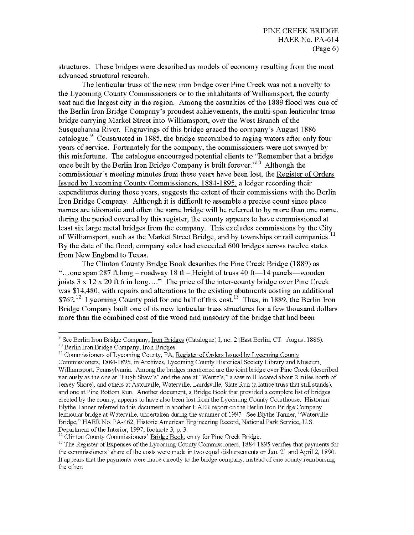structures. These bridges were described as models of economy resulting from the most advanced structural research.

The lenticular truss of the new iron bridge over Pine Creek was not a novelty to the Lycoming County Commissioners or to the inhabitants of Williamsport, the county seat and the largest city in the region. Among the casualties of the 1889 flood was one of the Berlin Iron Bridge Company's proudest achievements, the multi-span lenticular truss bridge carrying Market Street into Williamsport, over the West Branch of the Susquehanna River. Engravings of this bridge graced the company's August 1886 catalogue. Constructed in 1885, the bridge succumbed to raging waters after only four years of service. Fortunately for the company, the commissioners were not swayed by this misfortune. The catalogue encouraged potential clients to "Remember that a bridge once built by the Berlin Iron Bridge Company is built forever."<sup>10</sup> Although the commissioner's meeting minutes from these years have been lost, the Register of Orders Issued by Lycoming County Commissioners. 1884-1895. a ledger recording their expenditures during those years, suggests the extent of their commissions with the Berlin Iron Bridge Company. Although it is difficult to assemble a precise count since place names are idiomatic and often the same bridge will be referred to by more than one name, during the period covered by this register, the county appears to have commissioned at least six large metal bridges from the company. This excludes commissions by the City of Williamsport, such as the Market Street Bridge, and by townships or rail companies.<sup>11</sup> By the date of the flood, company sales had exceeded 600 bridges across twelve states from New England to Texas.

The Clinton County Bridge Book describes the Pine Creek Bridge (1889) as "...one span 287 ft long - roadway 18 ft - Height of truss 40 ft - 14 panels—wooden joists  $3 \times 12 \times 20$  ft 6 in long...." The price of the inter-county bridge over Pine Creek was \$14,480, with repairs and alterations to the existing abutments costing an additional  $$762<sup>12</sup>$  Lycoming County paid for one half of this cost.<sup>13</sup> Thus, in 1889, the Berlin Iron Bridge Company built one of its new lenticular truss structures for a few thousand dollars more than the combined cost of the wood and masonry of the bridge that had been

<sup>9</sup> See Berlin Iron Bridge Company, Iron Bridges (Catalogue) I, no. 2 (East Berlin, CT: August 1886). <sup>10</sup> Berlin Iron Bridge Company, Iron Bridges.

<sup>&</sup>lt;sup>11</sup> Commissioners of Lycoming County, PA, Register of Orders Issued by Lycoming County

Commissioners. 1884-1895. in Archives, Lycoming County Historical Society Library and Museum, Williamsport, Pennsylvania. Among the bridges mentioned are the joint bridge over Pine Creek (described variously as the one at "Hugh Shaw's" and the one at "Wentz's," a saw mill located about 2 miles north of Jersey Shore), and others at Astonville, Waterville, Lairdsville, Slate Run (a lattice truss that still stands), and one at Pine Bottom Run. Another document, a Bridge Book that provided a complete list of bridges erected by the county, appears to have also been lost from the Lycoming County Courthouse. Historian Blythe Tanner referred to this document in another HAER report on the Berlin Iron Bridge Company lenticular bridge at Waterville, undertaken during the summer of 1997. See Blythe Tanner, "Waterville Bridge," HAER No. PA-462, Historic American Engineering Record, National Park Service, U. S. Department of the Interior, 1997, footnote 3, p. 3.

<sup>&</sup>lt;sup>12</sup> Clinton County Commissioners' Bridge Book, entry for Pine Creek Bridge.

<sup>&</sup>lt;sup>13</sup> The Register of Expenses of the Lycoming County Commissioners, 1884-1895 verifies that payments for the commissioners' share of the costs were made in two equal disbursements on Jan. 21 and April 2, 1890. It appears that the payments were made directly to the bridge company, instead of one county reimbursing the other.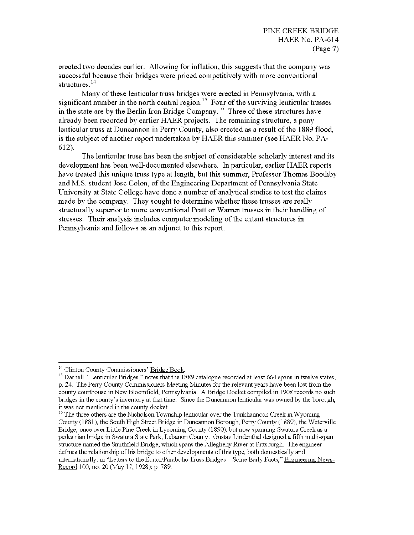erected two decades earlier. Allowing for inflation, this suggests that the company was successful because their bridges were priced competitively with more conventional structures.<sup>14</sup>

Many of these lenticular truss bridges were erected in Pennsylvania, with a significant number in the north central region.<sup>15</sup> Four of the surviving lenticular trusses in the state are by the Berlin Iron Bridge Company.<sup>16</sup> Three of these structures have already been recorded by earlier HAER projects. The remaining structure, a pony lenticular truss at Duncannon in Perry County, also erected as a result of the 1889 flood, is the subject of another report undertaken by HAER this summer (see HAER No. PA-612).

The lenticular truss has been the subject of considerable scholarly interest and its development has been we11-documented elsewhere. In particular, earlier HAER reports have treated this unique truss type at length, but this summer, Professor Thomas Boothby and M.S. student Jose Colon, of the Engineering Department of Pennsylvania State University at State College have done a number of analytical studies to test the claims made by the company. They sought to determine whether these trusses are really structurally superior to more conventional Pratt or Warren trusses in their handling of stresses. Their analysis includes computer modeling of the extant structures in Pennsylvania and follows as an adjunct to this report.

<sup>14</sup> Clinton County Commissioners' Bridge Book.

<sup>&</sup>lt;sup>15</sup> Darnell, "Lenticular Bridges," notes that the 1889 catalogue recorded at least 664 spans in twelve states, p. 24. The Perry County Commissioners Meeting Minutes for the relevant years have been lost from the county courthouse in New Bloomfield, Pennsylvania. A Bridge Docket compiled in 1908 records no such bridges in the county's inventory at that time. Since the Duncannon lenticular was owned by the borough, it was not mentioned in the county docket.

<sup>&</sup>lt;sup>16</sup> The three others are the Nicholson Township lenticular over the Tunkhannock Creek in Wyoming County (1881), the South High Street Bridge in Duncannon Borough, Perry County (1889), the Waterville Bridge, once over Little Pine Creek in Lycoming County (1890), but now spanning Swatura Creek as a pedestrian bridge in Swatura State Park, Lebanon County. Gustav Lindenthal designed a fifth multi-span structure named the Smithfield Bridge, which spans the Allegheny River at Pittsburgh. The engineer defines the relationship of his bridge to other developments of this type, both domestically and internationally, in "Letters to the Editor/Parabolic Truss Bridges—Some Early Facts," Engineering News-Record 100, no. 20 (May 17, 1928): p. 789.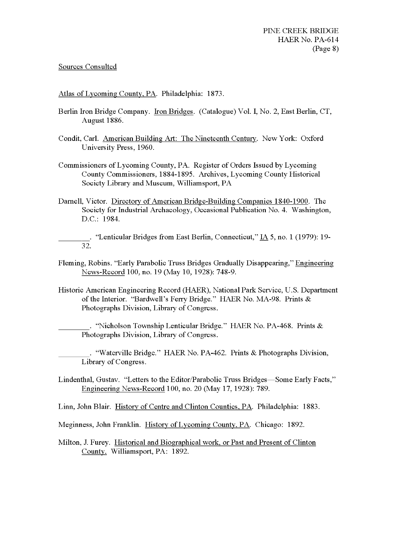### Sources Consulted

Atlas of Lycoming County. PA. Philadelphia: 1873.

- Berlin Iron Bridge Company. Iron Bridges. (Catalogue) Vol. I, No. 2, East Berlin, CT, August 1886.
- Condit, Carl. American Building Art: The Nineteenth Century. New York: Oxford University Press, 1960.
- Commissioners of Lycoming County, PA. Register of Orders Issued by Lycoming County Commissioners, 1884-1895. Archives, Lycoming County Historical Society Library and Museum, Williamsport, PA
- Darnell, Victor. Directory of American Bridge-Building Companies 1840-1900. The Society for Industrial Archaeology, Occasional Publication No. 4. Washington, D.C.: 1984.

. "Lenticular Bridges from East Berlin, Connecticut," IA 5, no. 1 (1979): 19-**32.**

- Fleming, Robins. "Early Parabolic Truss Bridges Gradually Disappearing," Engineering News-Record 100, no. 19 (May 10, 1928): 748-9.
- Historic American Engineering Record (HAER), National Park Service, U.S. Department of the Interior. "Bardwell's Ferry Bridge." HAER No. MA-98. Prints & Photographs Division, Library of Congress.

. "Nicholson Township Lenticular Bridge." HAER No. PA-468. Prints & Photographs Division, Library of Congress.

. "Waterville Bridge." HAER No. PA-462. Prints & Photographs Division, Library of Congress.

Lindenthal, Gustav. "Letters to the Editor/Parabolic Truss Bridges—Some Early Facts," Engineering News-Record 100, no. 20 (May 17, 1928): 789.

Linn, John Blair. History of Centre and Clinton Counties. PA. Philadelphia: 1883.

Meginness, John Franklin. History ofLycoming County. PA. Chicago: 1892.

Milton, J. Furey. Historical and Biographical work, or Past and Present of Clinton County. Williamsport, PA: 1892.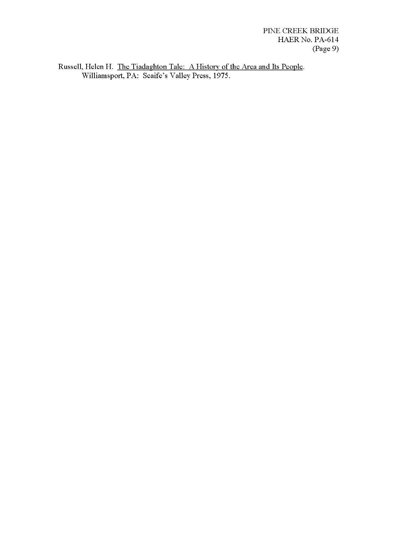PINE CREEK BRIDGE HAER No. PA-614 (Page 9)

Russell, Helen H. The Tiadaghton Tale: A History of the Area and Its People. Williamsport, PA: Scaife's Valley Press, 1975.